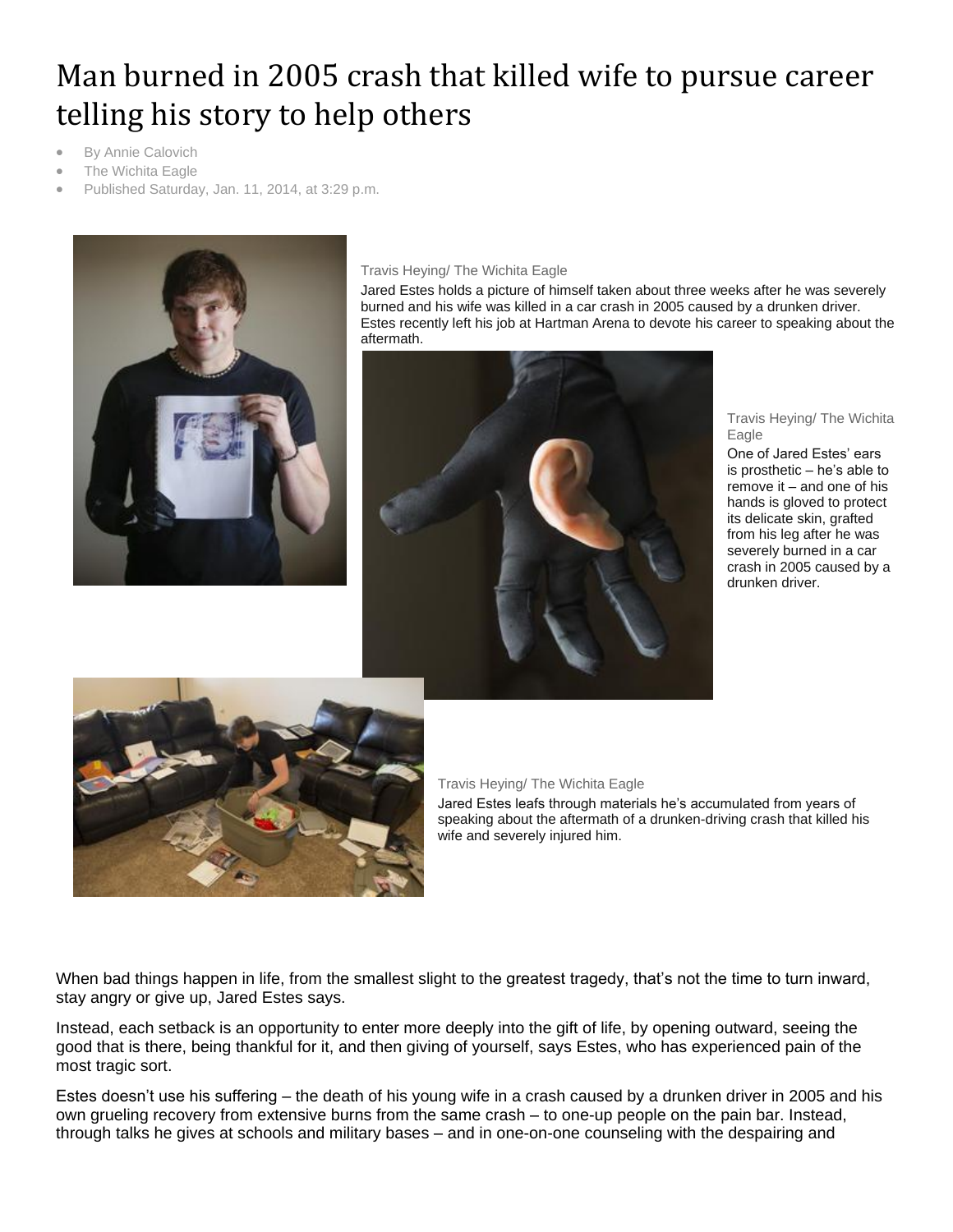# Man burned in 2005 crash that killed wife to pursue career telling his story to help others

- By Annie Calovich
- The Wichita Eagle
- Published Saturday, Jan. 11, 2014, at 3:29 p.m.



#### Travis Heying/ The Wichita Eagle

Jared Estes holds a picture of himself taken about three weeks after he was severely burned and his wife was killed in a car crash in 2005 caused by a drunken driver. Estes recently left his job at Hartman Arena to devote his career to speaking about the aftermath.



#### Travis Heying/ The Wichita Eagle

One of Jared Estes' ears is prosthetic – he's able to remove it – and one of his hands is gloved to protect its delicate skin, grafted from his leg after he was severely burned in a car crash in 2005 caused by a drunken driver.



### Travis Heying/ The Wichita Eagle

Jared Estes leafs through materials he's accumulated from years of speaking about the aftermath of a drunken-driving crash that killed his wife and severely injured him.

When bad things happen in life, from the smallest slight to the greatest tragedy, that's not the time to turn inward, stay angry or give up, Jared Estes says.

Instead, each setback is an opportunity to enter more deeply into the gift of life, by opening outward, seeing the good that is there, being thankful for it, and then giving of yourself, says Estes, who has experienced pain of the most tragic sort.

Estes doesn't use his suffering – the death of his young wife in a crash caused by a drunken driver in 2005 and his own grueling recovery from extensive burns from the same crash – to one-up people on the pain bar. Instead, through talks he gives at schools and military bases – and in one-on-one counseling with the despairing and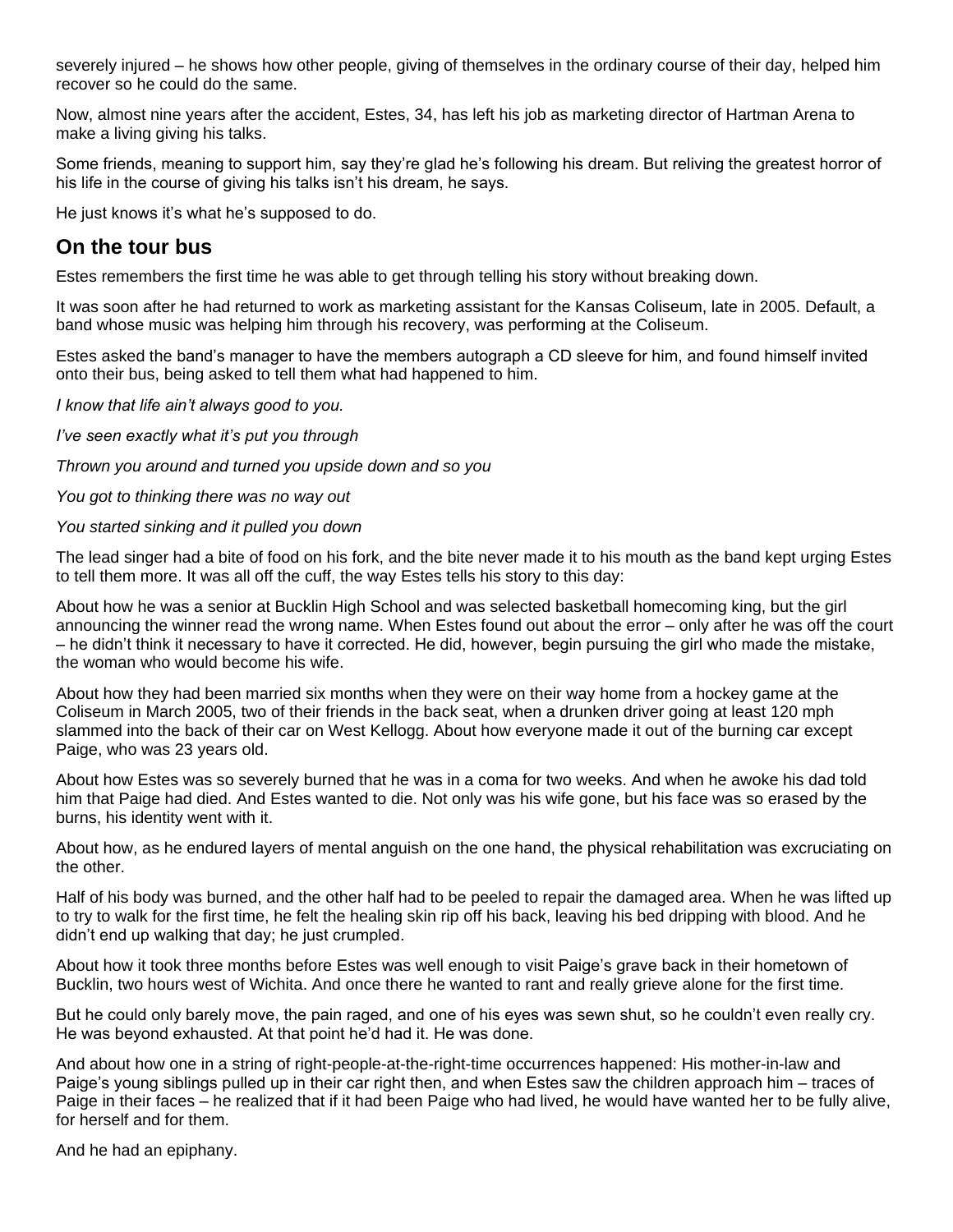severely injured – he shows how other people, giving of themselves in the ordinary course of their day, helped him recover so he could do the same.

Now, almost nine years after the accident, Estes, 34, has left his job as marketing director of Hartman Arena to make a living giving his talks.

Some friends, meaning to support him, say they're glad he's following his dream. But reliving the greatest horror of his life in the course of giving his talks isn't his dream, he says.

He just knows it's what he's supposed to do.

## **On the tour bus**

Estes remembers the first time he was able to get through telling his story without breaking down.

It was soon after he had returned to work as marketing assistant for the Kansas Coliseum, late in 2005. Default, a band whose music was helping him through his recovery, was performing at the Coliseum.

Estes asked the band's manager to have the members autograph a CD sleeve for him, and found himself invited onto their bus, being asked to tell them what had happened to him.

*I know that life ain't always good to you.*

*I've seen exactly what it's put you through*

*Thrown you around and turned you upside down and so you*

*You got to thinking there was no way out*

## *You started sinking and it pulled you down*

The lead singer had a bite of food on his fork, and the bite never made it to his mouth as the band kept urging Estes to tell them more. It was all off the cuff, the way Estes tells his story to this day:

About how he was a senior at Bucklin High School and was selected basketball homecoming king, but the girl announcing the winner read the wrong name. When Estes found out about the error – only after he was off the court – he didn't think it necessary to have it corrected. He did, however, begin pursuing the girl who made the mistake, the woman who would become his wife.

About how they had been married six months when they were on their way home from a hockey game at the Coliseum in March 2005, two of their friends in the back seat, when a drunken driver going at least 120 mph slammed into the back of their car on West Kellogg. About how everyone made it out of the burning car except Paige, who was 23 years old.

About how Estes was so severely burned that he was in a coma for two weeks. And when he awoke his dad told him that Paige had died. And Estes wanted to die. Not only was his wife gone, but his face was so erased by the burns, his identity went with it.

About how, as he endured layers of mental anguish on the one hand, the physical rehabilitation was excruciating on the other.

Half of his body was burned, and the other half had to be peeled to repair the damaged area. When he was lifted up to try to walk for the first time, he felt the healing skin rip off his back, leaving his bed dripping with blood. And he didn't end up walking that day; he just crumpled.

About how it took three months before Estes was well enough to visit Paige's grave back in their hometown of Bucklin, two hours west of Wichita. And once there he wanted to rant and really grieve alone for the first time.

But he could only barely move, the pain raged, and one of his eyes was sewn shut, so he couldn't even really cry. He was beyond exhausted. At that point he'd had it. He was done.

And about how one in a string of right-people-at-the-right-time occurrences happened: His mother-in-law and Paige's young siblings pulled up in their car right then, and when Estes saw the children approach him – traces of Paige in their faces – he realized that if it had been Paige who had lived, he would have wanted her to be fully alive, for herself and for them.

And he had an epiphany.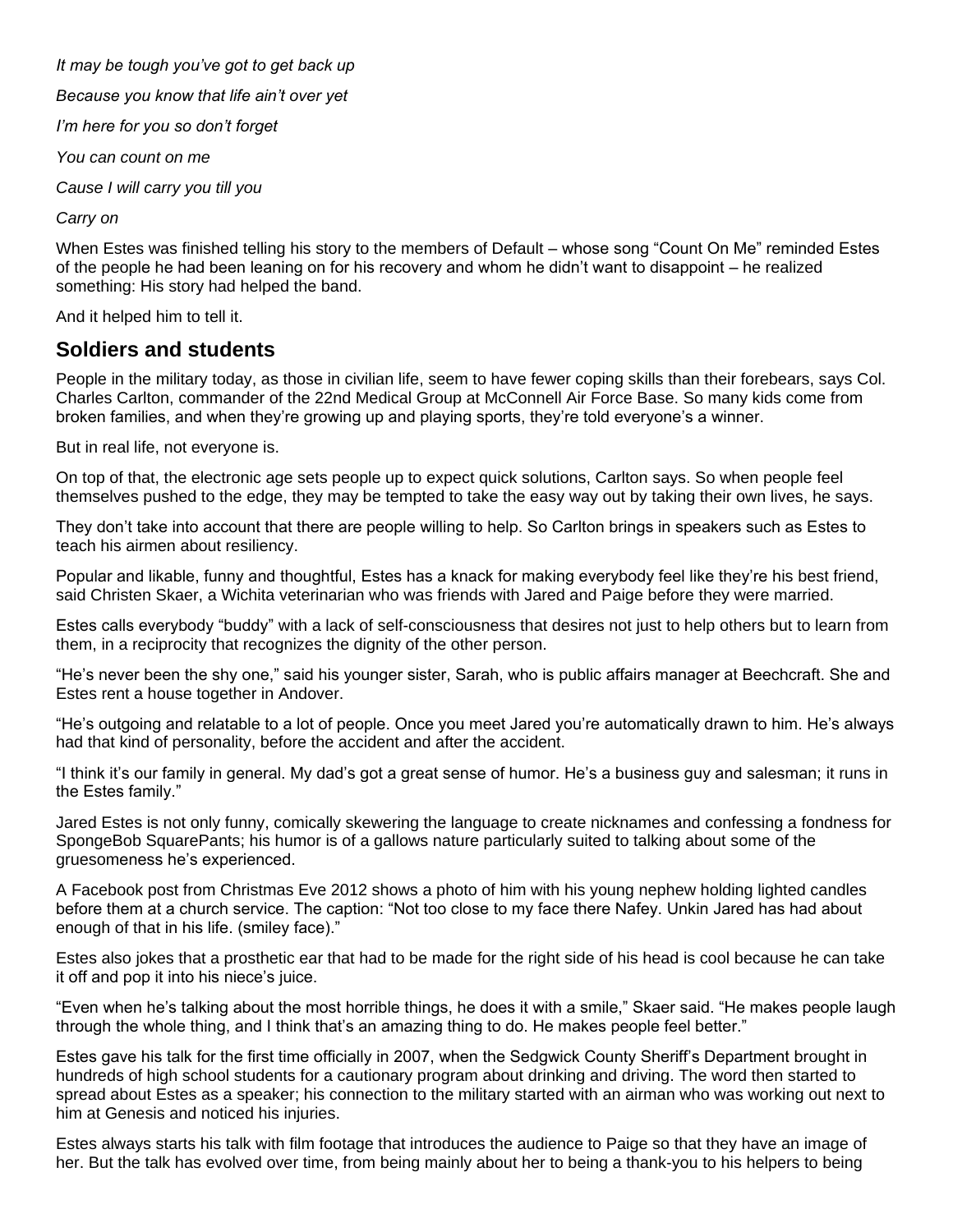*It may be tough you've got to get back up*

*Because you know that life ain't over yet*

*I'm here for you so don't forget*

*You can count on me*

*Cause I will carry you till you*

*Carry on*

When Estes was finished telling his story to the members of Default – whose song "Count On Me" reminded Estes of the people he had been leaning on for his recovery and whom he didn't want to disappoint – he realized something: His story had helped the band.

And it helped him to tell it.

## **Soldiers and students**

People in the military today, as those in civilian life, seem to have fewer coping skills than their forebears, says Col. Charles Carlton, commander of the 22nd Medical Group at McConnell Air Force Base. So many kids come from broken families, and when they're growing up and playing sports, they're told everyone's a winner.

But in real life, not everyone is.

On top of that, the electronic age sets people up to expect quick solutions, Carlton says. So when people feel themselves pushed to the edge, they may be tempted to take the easy way out by taking their own lives, he says.

They don't take into account that there are people willing to help. So Carlton brings in speakers such as Estes to teach his airmen about resiliency.

Popular and likable, funny and thoughtful, Estes has a knack for making everybody feel like they're his best friend, said Christen Skaer, a Wichita veterinarian who was friends with Jared and Paige before they were married.

Estes calls everybody "buddy" with a lack of self-consciousness that desires not just to help others but to learn from them, in a reciprocity that recognizes the dignity of the other person.

"He's never been the shy one," said his younger sister, Sarah, who is public affairs manager at Beechcraft. She and Estes rent a house together in Andover.

"He's outgoing and relatable to a lot of people. Once you meet Jared you're automatically drawn to him. He's always had that kind of personality, before the accident and after the accident.

"I think it's our family in general. My dad's got a great sense of humor. He's a business guy and salesman; it runs in the Estes family."

Jared Estes is not only funny, comically skewering the language to create nicknames and confessing a fondness for SpongeBob SquarePants; his humor is of a gallows nature particularly suited to talking about some of the gruesomeness he's experienced.

A Facebook post from Christmas Eve 2012 shows a photo of him with his young nephew holding lighted candles before them at a church service. The caption: "Not too close to my face there Nafey. Unkin Jared has had about enough of that in his life. (smiley face)."

Estes also jokes that a prosthetic ear that had to be made for the right side of his head is cool because he can take it off and pop it into his niece's juice.

"Even when he's talking about the most horrible things, he does it with a smile," Skaer said. "He makes people laugh through the whole thing, and I think that's an amazing thing to do. He makes people feel better."

Estes gave his talk for the first time officially in 2007, when the Sedgwick County Sheriff's Department brought in hundreds of high school students for a cautionary program about drinking and driving. The word then started to spread about Estes as a speaker; his connection to the military started with an airman who was working out next to him at Genesis and noticed his injuries.

Estes always starts his talk with film footage that introduces the audience to Paige so that they have an image of her. But the talk has evolved over time, from being mainly about her to being a thank-you to his helpers to being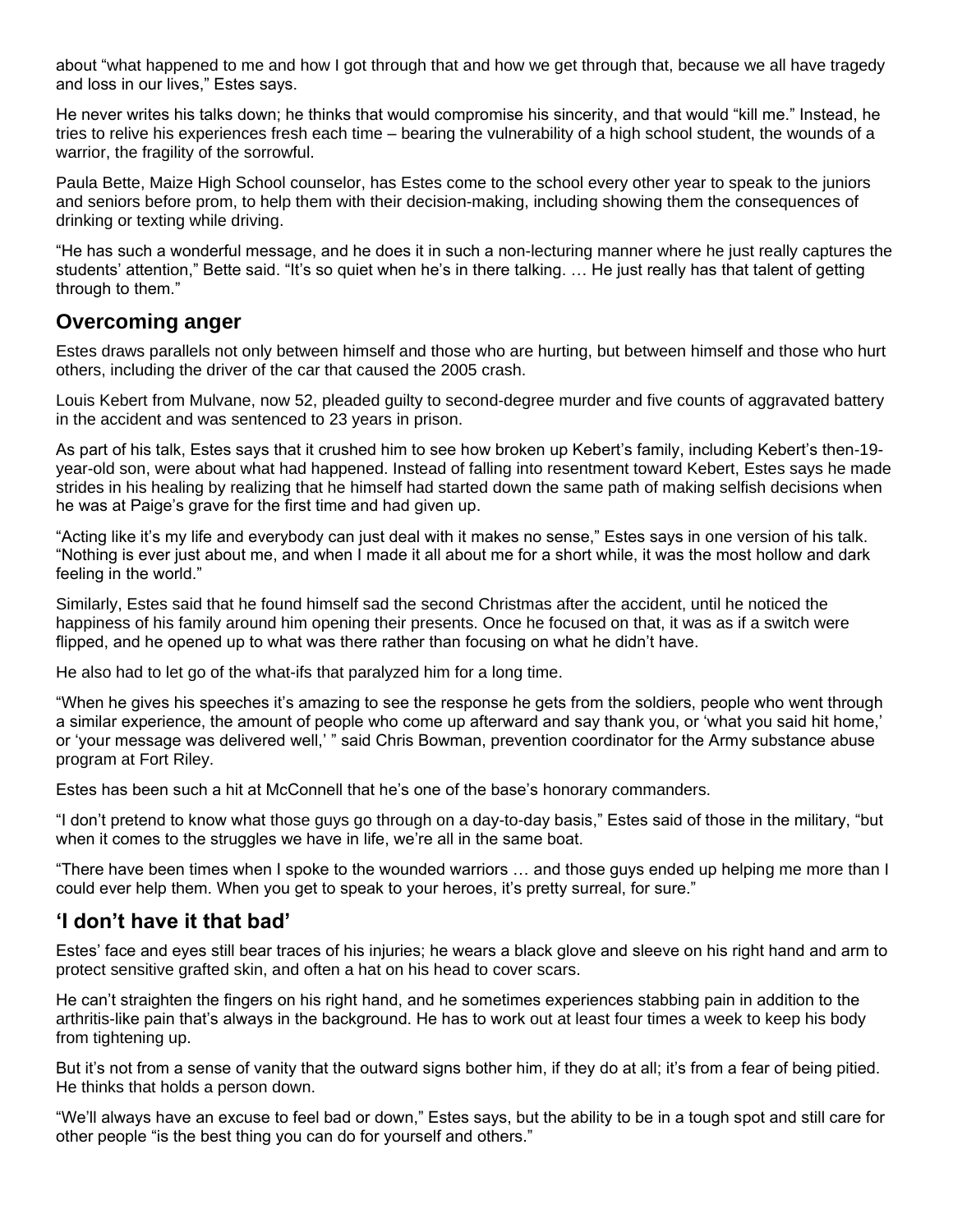about "what happened to me and how I got through that and how we get through that, because we all have tragedy and loss in our lives," Estes says.

He never writes his talks down; he thinks that would compromise his sincerity, and that would "kill me." Instead, he tries to relive his experiences fresh each time – bearing the vulnerability of a high school student, the wounds of a warrior, the fragility of the sorrowful.

Paula Bette, Maize High School counselor, has Estes come to the school every other year to speak to the juniors and seniors before prom, to help them with their decision-making, including showing them the consequences of drinking or texting while driving.

"He has such a wonderful message, and he does it in such a non-lecturing manner where he just really captures the students' attention," Bette said. "It's so quiet when he's in there talking. … He just really has that talent of getting through to them."

## **Overcoming anger**

Estes draws parallels not only between himself and those who are hurting, but between himself and those who hurt others, including the driver of the car that caused the 2005 crash.

Louis Kebert from Mulvane, now 52, pleaded guilty to second-degree murder and five counts of aggravated battery in the accident and was sentenced to 23 years in prison.

As part of his talk, Estes says that it crushed him to see how broken up Kebert's family, including Kebert's then-19 year-old son, were about what had happened. Instead of falling into resentment toward Kebert, Estes says he made strides in his healing by realizing that he himself had started down the same path of making selfish decisions when he was at Paige's grave for the first time and had given up.

"Acting like it's my life and everybody can just deal with it makes no sense," Estes says in one version of his talk. "Nothing is ever just about me, and when I made it all about me for a short while, it was the most hollow and dark feeling in the world."

Similarly, Estes said that he found himself sad the second Christmas after the accident, until he noticed the happiness of his family around him opening their presents. Once he focused on that, it was as if a switch were flipped, and he opened up to what was there rather than focusing on what he didn't have.

He also had to let go of the what-ifs that paralyzed him for a long time.

"When he gives his speeches it's amazing to see the response he gets from the soldiers, people who went through a similar experience, the amount of people who come up afterward and say thank you, or 'what you said hit home,' or 'your message was delivered well,' " said Chris Bowman, prevention coordinator for the Army substance abuse program at Fort Riley.

Estes has been such a hit at McConnell that he's one of the base's honorary commanders.

"I don't pretend to know what those guys go through on a day-to-day basis," Estes said of those in the military, "but when it comes to the struggles we have in life, we're all in the same boat.

"There have been times when I spoke to the wounded warriors … and those guys ended up helping me more than I could ever help them. When you get to speak to your heroes, it's pretty surreal, for sure."

## **'I don't have it that bad'**

Estes' face and eyes still bear traces of his injuries; he wears a black glove and sleeve on his right hand and arm to protect sensitive grafted skin, and often a hat on his head to cover scars.

He can't straighten the fingers on his right hand, and he sometimes experiences stabbing pain in addition to the arthritis-like pain that's always in the background. He has to work out at least four times a week to keep his body from tightening up.

But it's not from a sense of vanity that the outward signs bother him, if they do at all; it's from a fear of being pitied. He thinks that holds a person down.

"We'll always have an excuse to feel bad or down," Estes says, but the ability to be in a tough spot and still care for other people "is the best thing you can do for yourself and others."